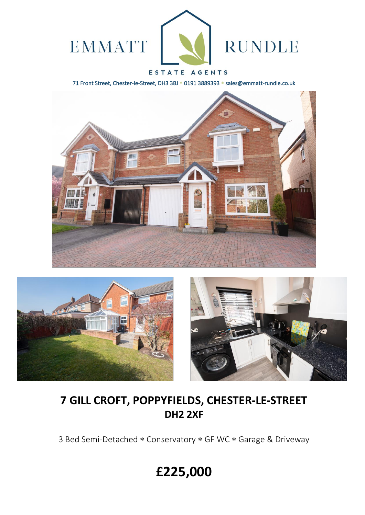

### ESTATE AGENTS

71 Front Street, Chester-le-Street, DH3 3BJ \* 0191 3889393 \* sales@emmatt-rundle.co.uk





## **7 GILL CROFT, POPPYFIELDS, CHESTER-LE-STREET DH2 2XF**

3 Bed Semi-Detached \* Conservatory \* GF WC \* Garage & Driveway

# **£225,000**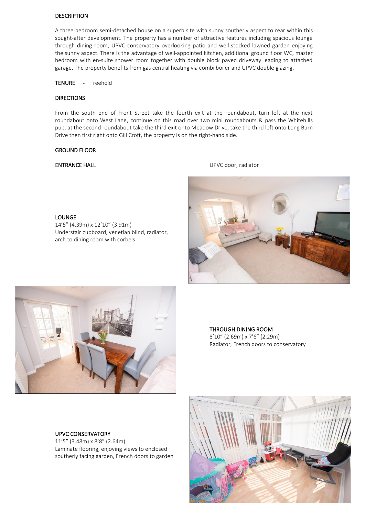#### **DESCRIPTION**

A three bedroom semi-detached house on a superb site with sunny southerly aspect to rear within this sought-after development. The property has a number of attractive features including spacious lounge through dining room, UPVC conservatory overlooking patio and well-stocked lawned garden enjoying the sunny aspect. There is the advantage of well-appointed kitchen, additional ground floor WC, master bedroom with en-suite shower room together with double block paved driveway leading to attached garage. The property benefits from gas central heating via combi boiler and UPVC double glazing.

TENURE - Freehold

#### DIRECTIONS

From the south end of Front Street take the fourth exit at the roundabout, turn left at the next roundabout onto West Lane, continue on this road over two mini roundabouts & pass the Whitehills pub, at the second roundabout take the third exit onto Meadow Drive, take the third left onto Long Burn Drive then first right onto Gill Croft, the property is on the right-hand side.

#### GROUND FLOOR

LOUNGE

**ENTRANCE HALL ENTRANCE HALL ENTRANCE HALL** 





14'5" (4.39m) x 12'10" (3.91m)

arch to dining room with corbels

Understair cupboard, venetian blind, radiator,

THROUGH DINING ROOM 8'10" (2.69m) x 7'6" (2.29m) Radiator, French doors to conservatory

#### UPVC CONSERVATORY

11'5" (3.48m) x 8'8" (2.64m) Laminate flooring, enjoying views to enclosed southerly facing garden, French doors to garden

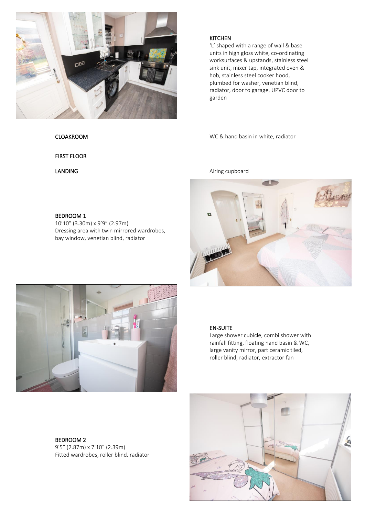

FIRST FLOOR

BEDROOM 1 10'10" (3.30m) x 9'9" (2.97m) Dressing area with twin mirrored wardrobes, bay window, venetian blind, radiator

**KITCHEN** 

'L' shaped with a range of wall & base units in high gloss white, co-ordinating worksurfaces & upstands, stainless steel sink unit, mixer tap, integrated oven & hob, stainless steel cooker hood, plumbed for washer, venetian blind, radiator, door to garage, UPVC door to garden

CLOAKROOM WC & hand basin in white, radiator

LANDING Airing cupboard





EN-SUITE

Large shower cubicle, combi shower with rainfall fitting, floating hand basin & WC, large vanity mirror, part ceramic tiled, roller blind, radiator, extractor fan

BEDROOM 2 9'5" (2.87m) x 7'10" (2.39m) Fitted wardrobes, roller blind, radiator